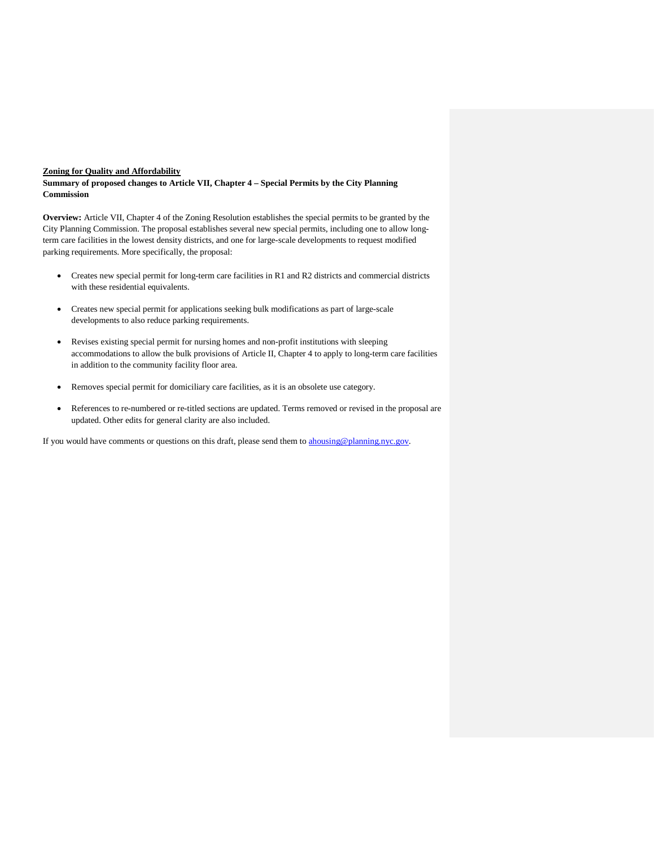## **Zoning for Quality and Affordability**

**Summary of proposed changes to Article VII, Chapter 4 – Special Permits by the City Planning Commission**

**Overview:** Article VII, Chapter 4 of the Zoning Resolution establishes the special permits to be granted by the City Planning Commission. The proposal establishes several new special permits, including one to allow longterm care facilities in the lowest density districts, and one for large-scale developments to request modified parking requirements. More specifically, the proposal:

- Creates new special permit for long-term care facilities in R1 and R2 districts and commercial districts with these residential equivalents.
- Creates new special permit for applications seeking bulk modifications as part of large-scale developments to also reduce parking requirements.
- Revises existing special permit for nursing homes and non-profit institutions with sleeping accommodations to allow the bulk provisions of Article II, Chapter 4 to apply to long-term care facilities in addition to the community facility floor area.
- Removes special permit for domiciliary care facilities, as it is an obsolete use category.
- References to re-numbered or re-titled sections are updated. Terms removed or revised in the proposal are updated. Other edits for general clarity are also included.

If you would have comments or questions on this draft, please send them to **ahousing@planning.nyc.gov**.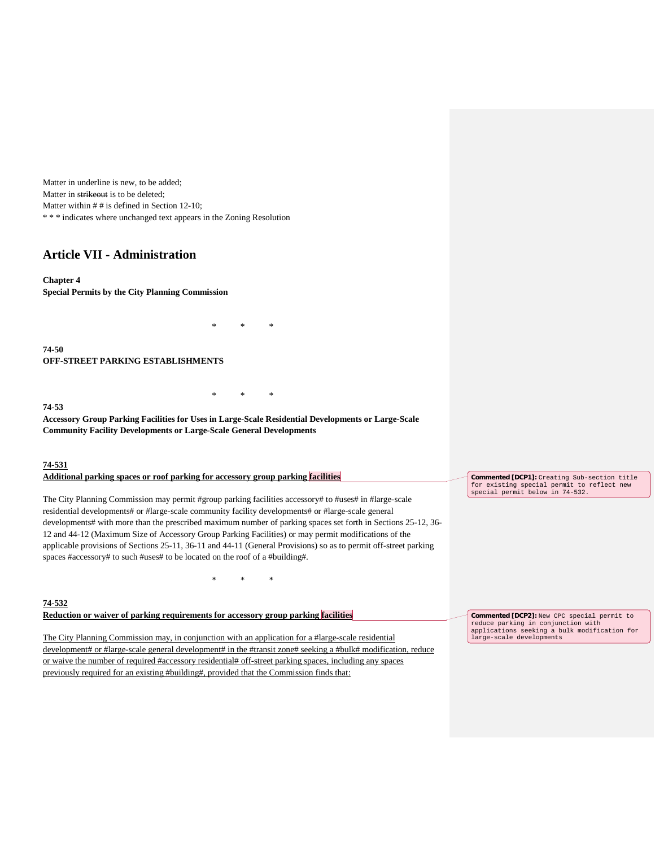Matter in underline is new, to be added; Matter in strikeout is to be deleted; Matter within # # is defined in Section 12-10; \* \* \* indicates where unchanged text appears in the Zoning Resolution

# **Article VII - Administration**

**Chapter 4 Special Permits by the City Planning Commission**

**74-50 OFF-STREET PARKING ESTABLISHMENTS**

**74-53**

**Accessory Group Parking Facilities for Uses in Large-Scale Residential Developments or Large-Scale Community Facility Developments or Large-Scale General Developments**

\* \* \*

\* \* \*

#### **74-531**

| Additional parking spaces or roof parking for accessory group parking facilities                                 | Commented [DCP1]: Creating Sub-section title                                  |
|------------------------------------------------------------------------------------------------------------------|-------------------------------------------------------------------------------|
|                                                                                                                  | for existing special permit to reflect new<br>special permit below in 74-532. |
| The City Planning Commission may permit #group parking facilities accessory# to #uses# in #large-scale           |                                                                               |
| residential developments# or #large-scale community facility developments# or #large-scale general               |                                                                               |
| developments# with more than the prescribed maximum number of parking spaces set forth in Sections 25-12, 36-    |                                                                               |
| 12 and 44-12 (Maximum Size of Accessory Group Parking Facilities) or may permit modifications of the             |                                                                               |
| applicable provisions of Sections 25-11, 36-11 and 44-11 (General Provisions) so as to permit off-street parking |                                                                               |

**74-532**

**Reduction or waiver of parking requirements for accessory group parking facilities**

spaces #accessory# to such #uses# to be located on the roof of a #building#.

The City Planning Commission may, in conjunction with an application for a #large-scale residential development# or #large-scale general development# in the #transit zone# seeking a #bulk# modification, reduce or waive the number of required #accessory residential# off-street parking spaces, including any spaces previously required for an existing #building#, provided that the Commission finds that:

\* \* \*

**Commented [DCP2]:** New CPC special permit to reduce parking in conjunction with applications seeking a bulk modification for large-scale developments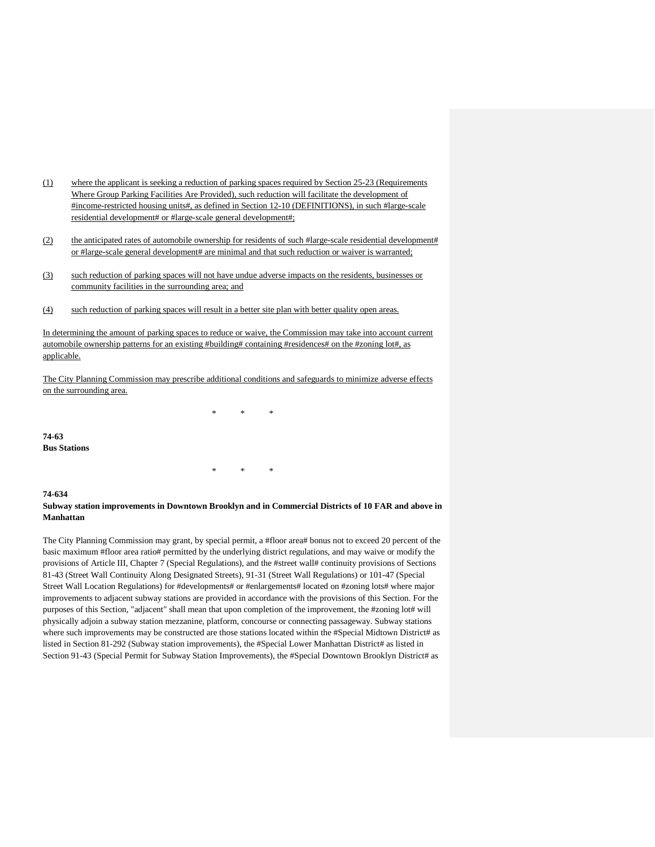- (1) where the applicant is seeking a reduction of parking spaces required by Section 25-23 (Requirements Where Group Parking Facilities Are Provided), such reduction will facilitate the development of #income-restricted housing units#, as defined in Section 12-10 (DEFINITIONS), in such #large-scale residential development# or #large-scale general development#;
- (2) the anticipated rates of automobile ownership for residents of such #large-scale residential development# or #large-scale general development# are minimal and that such reduction or waiver is warranted;
- (3) such reduction of parking spaces will not have undue adverse impacts on the residents, businesses or community facilities in the surrounding area; and
- (4) such reduction of parking spaces will result in a better site plan with better quality open areas.

In determining the amount of parking spaces to reduce or waive, the Commission may take into account current automobile ownership patterns for an existing #building# containing #residences# on the #zoning lot#, as applicable.

The City Planning Commission may prescribe additional conditions and safeguards to minimize adverse effects on the surrounding area.

\* \* \*

**74-63 Bus Stations**

**74-634**

## **Subway station improvements in Downtown Brooklyn and in Commercial Districts of 10 FAR and above in Manhattan**

\* \* \*

The City Planning Commission may grant, by special permit, a #floor area# bonus not to exceed 20 percent of the basic maximum #floor area ratio# permitted by the underlying district regulations, and may waive or modify the provisions of Article III, Chapter 7 (Special Regulations), and the #street wall# continuity provisions of Sections 81-43 (Street Wall Continuity Along Designated Streets), 91-31 (Street Wall Regulations) or 101-47 (Special Street Wall Location Regulations) for #developments# or #enlargements# located on #zoning lots# where major improvements to adjacent subway stations are provided in accordance with the provisions of this Section. For the purposes of this Section, "adjacent" shall mean that upon completion of the improvement, the #zoning lot# will physically adjoin a subway station mezzanine, platform, concourse or connecting passageway. Subway stations where such improvements may be constructed are those stations located within the #Special Midtown District# as listed in Section 81-292 (Subway station improvements), the #Special Lower Manhattan District# as listed in Section 91-43 (Special Permit for Subway Station Improvements), the #Special Downtown Brooklyn District# as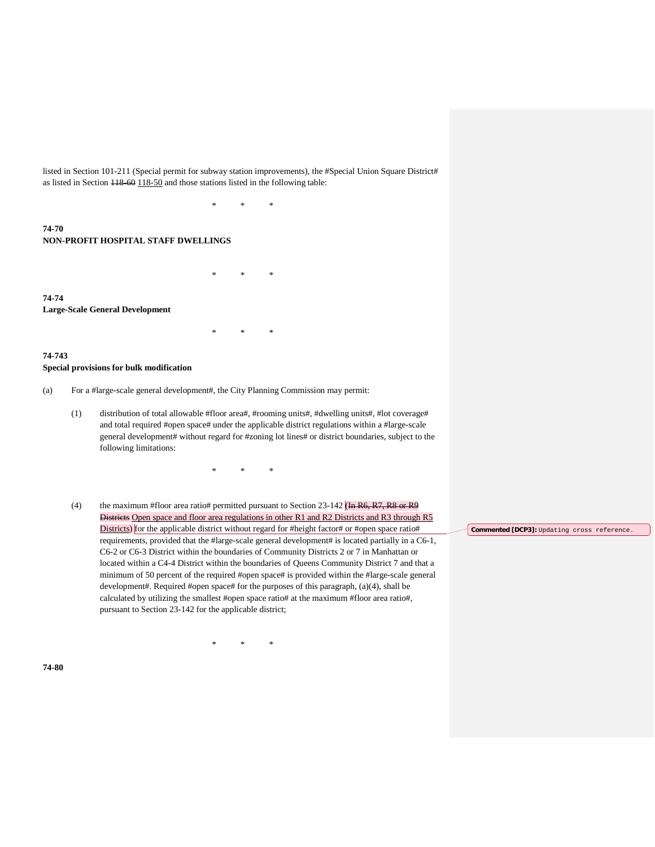listed in Section 101-211 (Special permit for subway station improvements), the #Special Union Square District# as listed in Section 118-60 118-50 and those stations listed in the following table:

\* \* \*

\* \* \*

\* \* \*

# **74-70 NON-PROFIT HOSPITAL STAFF DWELLINGS**

**74-74 Large-Scale General Development**

#### **74-743 Special provisions for bulk modification**

- (a) For a #large-scale general development#, the City Planning Commission may permit:
	- (1) distribution of total allowable #floor area#, #rooming units#, #dwelling units#, #lot coverage# and total required #open space# under the applicable district regulations within a #large-scale general development# without regard for #zoning lot lines# or district boundaries, subject to the following limitations:

\* \* \*

(4) the maximum #floor area ratio# permitted pursuant to Section 23-142 (In R6, R7, R8 or R9 Districts Open space and floor area regulations in other R1 and R2 Districts and R3 through R5 Districts) for the applicable district without regard for #height factor# or #open space ratio# requirements, provided that the #large-scale general development# is located partially in a C6-1, C6-2 or C6-3 District within the boundaries of Community Districts 2 or 7 in Manhattan or located within a C4-4 District within the boundaries of Queens Community District 7 and that a minimum of 50 percent of the required #open space# is provided within the #large-scale general development#. Required #open space# for the purposes of this paragraph, (a)(4), shall be calculated by utilizing the smallest #open space ratio# at the maximum #floor area ratio#, pursuant to Section 23-142 for the applicable district;

\* \* \*

**Commented [DCP3]:** Updating cross reference.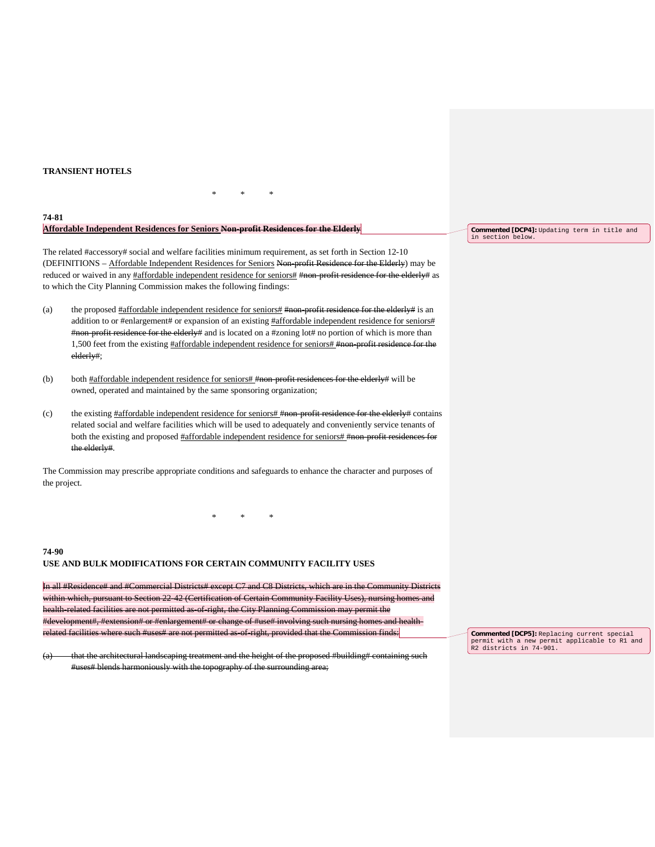## **TRANSIENT HOTELS**

### **74-81 Affordable Independent Residences for Seniors Non-profit Residences for the Elderly**

The related #accessory# social and welfare facilities minimum requirement, as set forth in Section 12-10 (DEFINITIONS – Affordable Independent Residences for Seniors Non-profit Residence for the Elderly) may be reduced or waived in any #affordable independent residence for seniors# #non-profit residence for the elderly# as to which the City Planning Commission makes the following findings:

\* \* \*

(a) the proposed #affordable independent residence for seniors# #non-profit residence for the elderly# is an addition to or #enlargement# or expansion of an existing #affordable independent residence for seniors# #non-profit residence for the elderly# and is located on a #zoning lot# no portion of which is more than 1,500 feet from the existing #affordable independent residence for seniors# #non-profit residence for the elderly#;

- (b) both  $\frac{\text{Haffordable independent residence for senior} \text{smiors}}{\text{Hmon profit residues}}$  for the elderly# will be owned, operated and maintained by the same sponsoring organization;
- (c) the existing  $#affordable$  independent residence for seniors  $#non-profit$  residence for the elderly  $#$  contains related social and welfare facilities which will be used to adequately and conveniently service tenants of both the existing and proposed #affordable independent residence for seniors# #non-profit residences for the elderly#.

The Commission may prescribe appropriate conditions and safeguards to enhance the character and purposes of the project.

\* \* \*

**74-90 USE AND BULK MODIFICATIONS FOR CERTAIN COMMUNITY FACILITY USES**

In all #Residence# and #Commercial Districts# except C7 and C8 Districts, which are in the Community Districts within which, pursuant to Section 22-42 (Certification of Certain Community Facility Uses), nursing homes and health-related facilities are not permitted as-of-right, the City Planning Commission may permit the #development#, #extension# or #enlargement# or change of #use# involving such nursing homes and healthrelated facilities where such #uses# are not permitted as-of-right, provided that the Commission finds:

(a) that the architectural landscaping treatment and the height of the proposed #building# containing such #uses# blends harmoniously with the topography of the surrounding area;

**Commented [DCP4]:** Updating term in title and in section below.

**Commented [DCP5]:** Replacing current special permit with a new permit applicable to R1 and R2 districts in 74-901.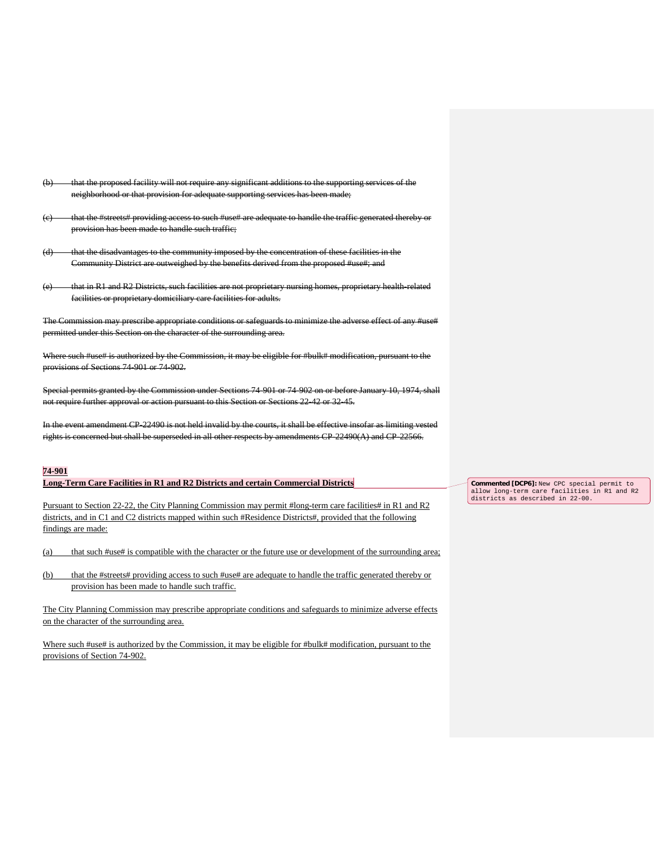- the proposed facility will not require any significant additions to the supporting services of the neighborhood or that provision for adequate supporting services has been made;
- (c) that the #streets# providing access to such #use# are adequate to handle the traffic generated thereby or provision has been made to handle such traffic;
- (d) that the disadvantages to the community imposed by the concentration of these facilities in the Community District are outweighed by the benefits derived from the proposed #use#; and
- that in R1 and R2 Districts, such facilities are not proprietary nursing homes, proprietary health-related facilities or proprietary domiciliary care facilities for adults.

The Commission may prescribe appropriate conditions or safeguards to minimize the adverse effect of any #use# permitted under this Section on the character of the surrounding area.

Where such #use# is authorized by the Commission, it may be eligible for #bulk# modification, pursuant to the provisions of Sections 74-901 or 74-902.

Special permits granted by the Commission under Sections 74-901 or 74-902 on or before January 10, 1974, shall not require further approval or action pursuant to this Section or Sections 22-42 or 32-45.

In the event amendment CP-22490 is not held invalid by the courts, it shall be effective insofar as limiting vested rights is concerned but shall be superseded in all other respects by amendments CP-22490(A) and CP-22566.

#### **74-901**

### **Long-Term Care Facilities in R1 and R2 Districts and certain Commercial Districts**

Pursuant to Section 22-22, the City Planning Commission may permit #long-term care facilities# in R1 and R2 districts, and in C1 and C2 districts mapped within such #Residence Districts#, provided that the following findings are made:

(a) that such #use# is compatible with the character or the future use or development of the surrounding area;

(b) that the #streets# providing access to such #use# are adequate to handle the traffic generated thereby or provision has been made to handle such traffic.

The City Planning Commission may prescribe appropriate conditions and safeguards to minimize adverse effects on the character of the surrounding area.

Where such #use# is authorized by the Commission, it may be eligible for #bulk# modification, pursuant to the provisions of Section 74-902.

**Commented [DCP6]:** New CPC special permit to allow long-term care facilities in R1 and R2 districts as described in 22-00.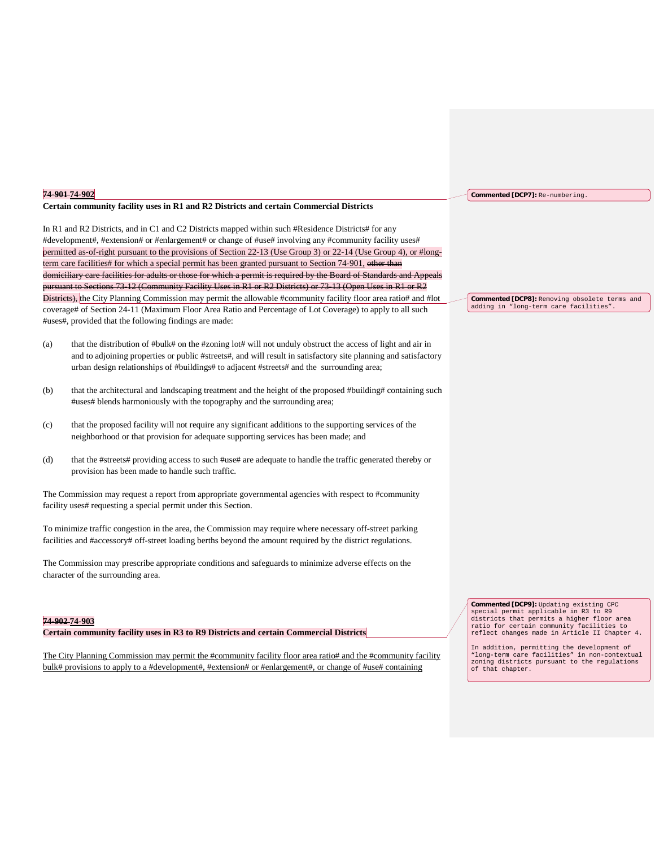|     | 74-901-74-902                                                                                                                                                                                                                                                                                                                         | Commented [DCP7]: Re-numbering.                                                                                                                                                                                                                                                                                                                                                                 |  |  |
|-----|---------------------------------------------------------------------------------------------------------------------------------------------------------------------------------------------------------------------------------------------------------------------------------------------------------------------------------------|-------------------------------------------------------------------------------------------------------------------------------------------------------------------------------------------------------------------------------------------------------------------------------------------------------------------------------------------------------------------------------------------------|--|--|
|     | Certain community facility uses in R1 and R2 Districts and certain Commercial Districts                                                                                                                                                                                                                                               |                                                                                                                                                                                                                                                                                                                                                                                                 |  |  |
|     | In R1 and R2 Districts, and in C1 and C2 Districts mapped within such #Residence Districts# for any                                                                                                                                                                                                                                   |                                                                                                                                                                                                                                                                                                                                                                                                 |  |  |
|     | #development#, #extension# or #enlargement# or change of #use# involving any #community facility uses#                                                                                                                                                                                                                                |                                                                                                                                                                                                                                                                                                                                                                                                 |  |  |
|     | permitted as-of-right pursuant to the provisions of Section 22-13 (Use Group 3) or 22-14 (Use Group 4), or #long-                                                                                                                                                                                                                     |                                                                                                                                                                                                                                                                                                                                                                                                 |  |  |
|     | term care facilities# for which a special permit has been granted pursuant to Section 74-901, other than                                                                                                                                                                                                                              |                                                                                                                                                                                                                                                                                                                                                                                                 |  |  |
|     | domiciliary care facilities for adults or those for which a permit is required by the Board of Standards and Appeals                                                                                                                                                                                                                  |                                                                                                                                                                                                                                                                                                                                                                                                 |  |  |
|     | pursuant to Sections 73 12 (Community Facility Uses in R1 or R2 Districts) or 73 13 (Open Uses in R1 or R2                                                                                                                                                                                                                            |                                                                                                                                                                                                                                                                                                                                                                                                 |  |  |
|     | Districts), the City Planning Commission may permit the allowable #community facility floor area ratio# and #lot                                                                                                                                                                                                                      | <b>Commented [DCP8]:</b> Removing obsolete terms and<br>adding in "long-term care facilities".                                                                                                                                                                                                                                                                                                  |  |  |
|     | coverage# of Section 24-11 (Maximum Floor Area Ratio and Percentage of Lot Coverage) to apply to all such<br>#uses#, provided that the following findings are made:                                                                                                                                                                   |                                                                                                                                                                                                                                                                                                                                                                                                 |  |  |
| (a) | that the distribution of #bulk# on the #zoning lot# will not unduly obstruct the access of light and air in                                                                                                                                                                                                                           |                                                                                                                                                                                                                                                                                                                                                                                                 |  |  |
|     | and to adjoining properties or public #streets#, and will result in satisfactory site planning and satisfactory                                                                                                                                                                                                                       |                                                                                                                                                                                                                                                                                                                                                                                                 |  |  |
|     | urban design relationships of #buildings# to adjacent #streets# and the surrounding area;                                                                                                                                                                                                                                             |                                                                                                                                                                                                                                                                                                                                                                                                 |  |  |
| (b) | that the architectural and landscaping treatment and the height of the proposed #building# containing such                                                                                                                                                                                                                            |                                                                                                                                                                                                                                                                                                                                                                                                 |  |  |
|     | #uses# blends harmoniously with the topography and the surrounding area;                                                                                                                                                                                                                                                              |                                                                                                                                                                                                                                                                                                                                                                                                 |  |  |
| (c) | that the proposed facility will not require any significant additions to the supporting services of the                                                                                                                                                                                                                               |                                                                                                                                                                                                                                                                                                                                                                                                 |  |  |
|     | neighborhood or that provision for adequate supporting services has been made; and                                                                                                                                                                                                                                                    |                                                                                                                                                                                                                                                                                                                                                                                                 |  |  |
| (d) | that the #streets# providing access to such #use# are adequate to handle the traffic generated thereby or<br>provision has been made to handle such traffic.                                                                                                                                                                          |                                                                                                                                                                                                                                                                                                                                                                                                 |  |  |
|     | The Commission may request a report from appropriate governmental agencies with respect to #community<br>facility uses# requesting a special permit under this Section.                                                                                                                                                               |                                                                                                                                                                                                                                                                                                                                                                                                 |  |  |
|     | To minimize traffic congestion in the area, the Commission may require where necessary off-street parking<br>facilities and #accessory# off-street loading berths beyond the amount required by the district regulations.                                                                                                             |                                                                                                                                                                                                                                                                                                                                                                                                 |  |  |
|     | The Commission may prescribe appropriate conditions and safeguards to minimize adverse effects on the<br>character of the surrounding area.                                                                                                                                                                                           |                                                                                                                                                                                                                                                                                                                                                                                                 |  |  |
|     | 74-902 74-903<br>Certain community facility uses in R3 to R9 Districts and certain Commercial Districts<br>The City Planning Commission may permit the #community facility floor area ratio# and the #community facility<br>bulk# provisions to apply to a #development#, #extension# or #enlargement#, or change of #use# containing | Commented [DCP9]: Updating existing CPC<br>special permit applicable in R3 to R9<br>districts that permits a higher floor area<br>ratio for certain community facilities to<br>reflect changes made in Article II Chapter 4.<br>In addition, permitting the development of<br>"long-term care facilities" in non-contextual<br>zoning districts pursuant to the regulations<br>of that chapter. |  |  |
|     |                                                                                                                                                                                                                                                                                                                                       |                                                                                                                                                                                                                                                                                                                                                                                                 |  |  |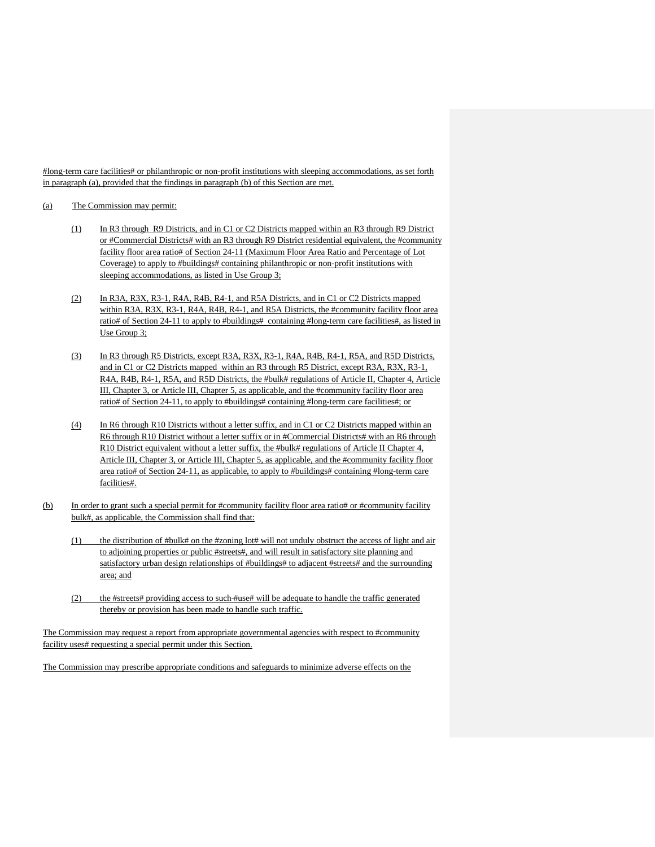#long-term care facilities# or philanthropic or non-profit institutions with sleeping accommodations, as set forth in paragraph (a), provided that the findings in paragraph (b) of this Section are met.

#### (a) The Commission may permit:

- (1) In R3 through R9 Districts, and in C1 or C2 Districts mapped within an R3 through R9 District or #Commercial Districts# with an R3 through R9 District residential equivalent, the #community facility floor area ratio# of Section 24-11 (Maximum Floor Area Ratio and Percentage of Lot Coverage) to apply to #buildings# containing philanthropic or non-profit institutions with sleeping accommodations, as listed in Use Group 3;
- (2) In R3A, R3X, R3-1, R4A, R4B, R4-1, and R5A Districts, and in C1 or C2 Districts mapped within R3A, R3X, R3-1, R4A, R4B, R4-1, and R5A Districts, the #community facility floor area ratio# of Section 24-11 to apply to #buildings# containing #long-term care facilities#, as listed in Use Group 3;
- (3) In R3 through R5 Districts, except R3A, R3X, R3-1, R4A, R4B, R4-1, R5A, and R5D Districts, and in C1 or C2 Districts mapped within an R3 through R5 District, except R3A, R3X, R3-1, R4A, R4B, R4-1, R5A, and R5D Districts, the #bulk# regulations of Article II, Chapter 4, Article III, Chapter 3, or Article III, Chapter 5, as applicable, and the #community facility floor area ratio# of Section 24-11, to apply to #buildings# containing #long-term care facilities#; or
- (4) In R6 through R10 Districts without a letter suffix, and in C1 or C2 Districts mapped within an R6 through R10 District without a letter suffix or in #Commercial Districts# with an R6 through R10 District equivalent without a letter suffix, the #bulk# regulations of Article II Chapter 4, Article III, Chapter 3, or Article III, Chapter 5, as applicable, and the #community facility floor area ratio# of Section 24-11, as applicable, to apply to #buildings# containing #long-term care facilities#.
- (b) In order to grant such a special permit for #community facility floor area ratio# or #community facility bulk#, as applicable, the Commission shall find that:
	- (1) the distribution of #bulk# on the #zoning lot# will not unduly obstruct the access of light and air to adjoining properties or public #streets#, and will result in satisfactory site planning and satisfactory urban design relationships of #buildings# to adjacent #streets# and the surrounding area; and
	- (2) the #streets# providing access to such #use# will be adequate to handle the traffic generated thereby or provision has been made to handle such traffic.

The Commission may request a report from appropriate governmental agencies with respect to #community facility uses# requesting a special permit under this Section.

The Commission may prescribe appropriate conditions and safeguards to minimize adverse effects on the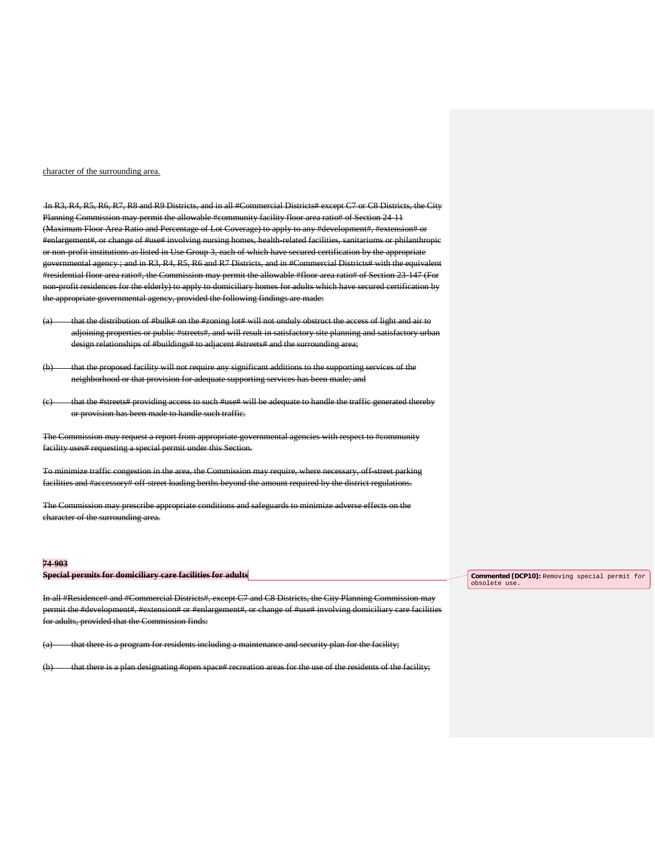#### character of the surrounding area.

In R3, R4, R5, R6, R7, R8 and R9 Districts, and in all #Commercial Districts# except C7 or C8 Districts, the City Planning Commission may permit the allowable #community facility floor area ratio# of Section 24-11 (Maximum Floor Area Ratio and Percentage of Lot Coverage) to apply to any #development#, #extension# or #enlargement#, or change of #use# involving nursing homes, health-related facilities, sanitariums or philanthropic or non-profit institutions as listed in Use Group 3, each of which have secured certification by the appropriate governmental agency ; and in R3, R4, R5, R6 and R7 Districts, and in #Commercial Districts# with the equivalent #residential floor area ratio#, the Commission may permit the allowable #floor area ratio# of Section 23-147 (For non-profit residences for the elderly) to apply to domiciliary homes for adults which have secured certification by the appropriate governmental agency, provided the following findings are made:

- (a) that the distribution of #bulk# on the #zoning lot# will not unduly obstruct the access of light and air to adjoining properties or public #streets#, and will result in satisfactory site planning and satisfactory urban design relationships of #buildings# to adjacent #streets# and the surrounding area;
- (b) that the proposed facility will not require any significant additions to the supporting services of the neighborhood or that provision for adequate supporting services has been made; and
- that the #streets# providing access to such #use# will be adequate to handle the traffic generated thereby or provision has been made to handle such traffic.

The Commission may request a report from appropriate governmental agencies with respect to #comm facility uses# requesting a special permit under this Section.

To minimize traffic congestion in the area, the Commission may require, where necessary, off-street parking facilities and #accessory# off-street loading berths beyond the amount required by the district regulations.

The Commission may prescribe appropriate conditions and safeguards to minimize adverse effects on the character of the surrounding area.

## **74-903**

|  | Consider normits for dominitions some fooilities for adults           |  |
|--|-----------------------------------------------------------------------|--|
|  | <del>opeeral permits for gommethal y care facilities for aguits</del> |  |

In all #Residence# and #Commercial Districts#, except C7 and C8 Districts, the City Planning Commission may permit the #development#, #extension# or #enlargement#, or change of #use# involving domiciliary care facilities for adults, provided that the Commission finds:

(a) that there is a program for residents including a maintenance and security plan for the facility;

(b) that there is a plan designating #open space# recreation areas for the use of the residents of the facility;

**Commented [DCP10]:** Removing special permit for obsolete use.